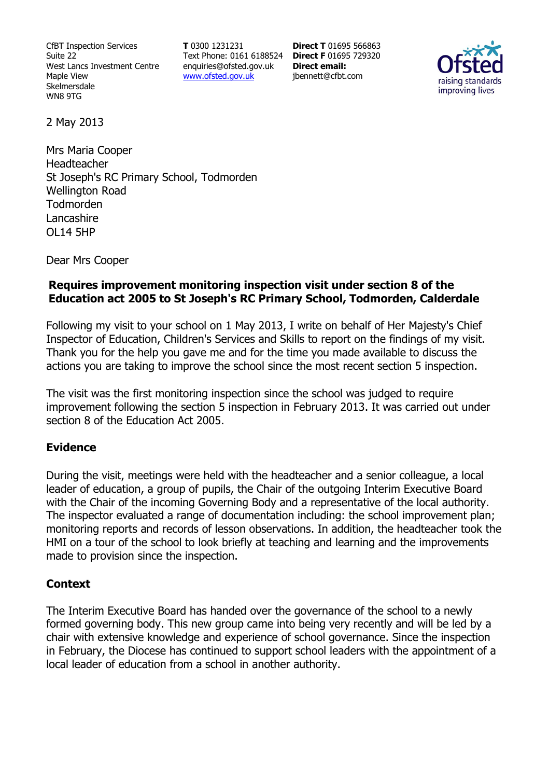CfBT Inspection Services Suite 22 West Lancs Investment Centre Maple View Skelmersdale WN8 9TG

**T** 0300 1231231 Text Phone: 0161 6188524 **Direct F** 01695 729320 enquiries@ofsted.gov.uk www.ofsted.gov.uk

**Direct T** 01695 566863 **Direct email:**  jbennett@cfbt.com



2 May 2013

Mrs Maria Cooper Headteacher St Joseph's RC Primary School, Todmorden Wellington Road Todmorden Lancashire OL14 5HP

Dear Mrs Cooper

## **Requires improvement monitoring inspection visit under section 8 of the Education act 2005 to St Joseph's RC Primary School, Todmorden, Calderdale**

Following my visit to your school on 1 May 2013, I write on behalf of Her Majesty's Chief Inspector of Education, Children's Services and Skills to report on the findings of my visit. Thank you for the help you gave me and for the time you made available to discuss the actions you are taking to improve the school since the most recent section 5 inspection.

The visit was the first monitoring inspection since the school was judged to require improvement following the section 5 inspection in February 2013. It was carried out under section 8 of the Education Act 2005.

### **Evidence**

During the visit, meetings were held with the headteacher and a senior colleague, a local leader of education, a group of pupils, the Chair of the outgoing Interim Executive Board with the Chair of the incoming Governing Body and a representative of the local authority. The inspector evaluated a range of documentation including: the school improvement plan; monitoring reports and records of lesson observations. In addition, the headteacher took the HMI on a tour of the school to look briefly at teaching and learning and the improvements made to provision since the inspection.

### **Context**

The Interim Executive Board has handed over the governance of the school to a newly formed governing body. This new group came into being very recently and will be led by a chair with extensive knowledge and experience of school governance. Since the inspection in February, the Diocese has continued to support school leaders with the appointment of a local leader of education from a school in another authority.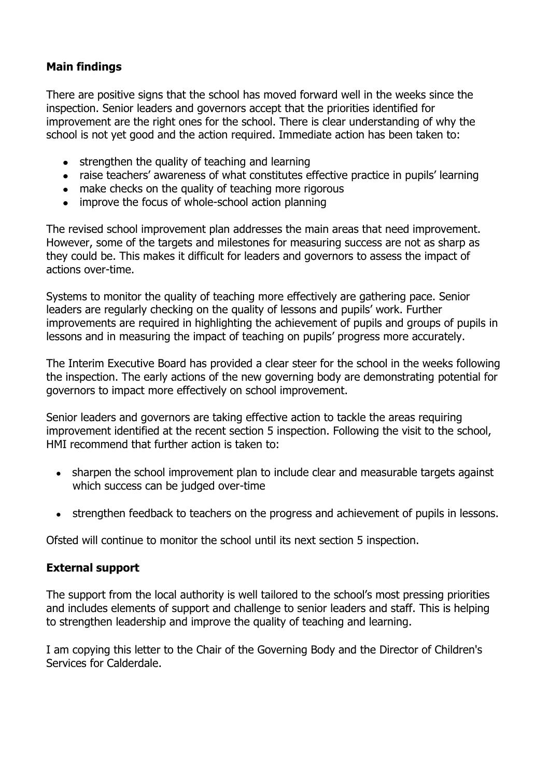# **Main findings**

There are positive signs that the school has moved forward well in the weeks since the inspection. Senior leaders and governors accept that the priorities identified for improvement are the right ones for the school. There is clear understanding of why the school is not yet good and the action required. Immediate action has been taken to:

- strengthen the quality of teaching and learning  $\bullet$
- raise teachers' awareness of what constitutes effective practice in pupils' learning
- make checks on the quality of teaching more rigorous
- improve the focus of whole-school action planning  $\bullet$

The revised school improvement plan addresses the main areas that need improvement. However, some of the targets and milestones for measuring success are not as sharp as they could be. This makes it difficult for leaders and governors to assess the impact of actions over-time.

Systems to monitor the quality of teaching more effectively are gathering pace. Senior leaders are regularly checking on the quality of lessons and pupils' work. Further improvements are required in highlighting the achievement of pupils and groups of pupils in lessons and in measuring the impact of teaching on pupils' progress more accurately.

The Interim Executive Board has provided a clear steer for the school in the weeks following the inspection. The early actions of the new governing body are demonstrating potential for governors to impact more effectively on school improvement.

Senior leaders and governors are taking effective action to tackle the areas requiring improvement identified at the recent section 5 inspection. Following the visit to the school, HMI recommend that further action is taken to:

- sharpen the school improvement plan to include clear and measurable targets against which success can be judged over-time
- strengthen feedback to teachers on the progress and achievement of pupils in lessons.

Ofsted will continue to monitor the school until its next section 5 inspection.

## **External support**

The support from the local authority is well tailored to the school's most pressing priorities and includes elements of support and challenge to senior leaders and staff. This is helping to strengthen leadership and improve the quality of teaching and learning.

I am copying this letter to the Chair of the Governing Body and the Director of Children's Services for Calderdale.